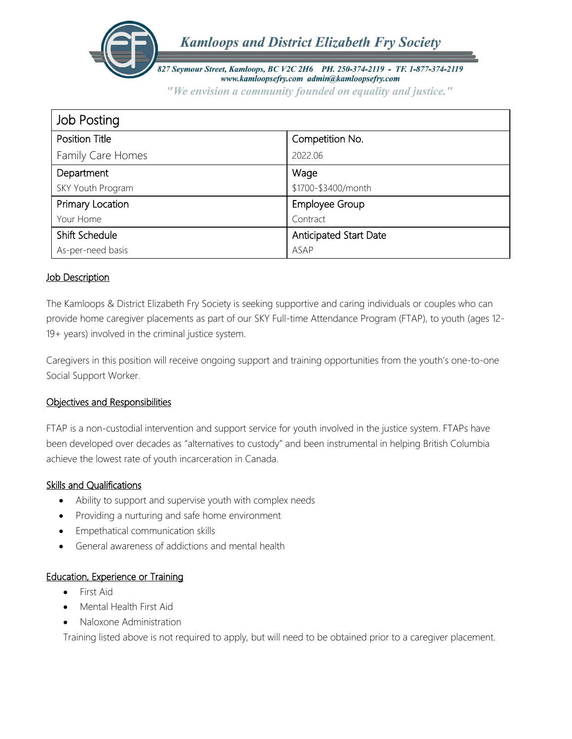

"We envision a community founded on equality and justice."

| <b>Job Posting</b>    |                        |  |
|-----------------------|------------------------|--|
| <b>Position Title</b> | Competition No.        |  |
| Family Care Homes     | 2022.06                |  |
| Department            | Wage                   |  |
| SKY Youth Program     | \$1700-\$3400/month    |  |
| Primary Location      | Employee Group         |  |
| Your Home             | Contract               |  |
| Shift Schedule        | Anticipated Start Date |  |
| As-per-need basis     | <b>ASAP</b>            |  |

# **Job Description**

The Kamloops & District Elizabeth Fry Society is seeking supportive and caring individuals or couples who can provide home caregiver placements as part of our SKY Full-time Attendance Program (FTAP), to youth (ages 12- 19+ years) involved in the criminal justice system.

Caregivers in this position will receive ongoing support and training opportunities from the youth's one-to-one Social Support Worker.

### Objectives and Responsibilities

FTAP is a non-custodial intervention and support service for youth involved in the justice system. FTAPs have been developed over decades as "alternatives to custody" and been instrumental in helping British Columbia achieve the lowest rate of youth incarceration in Canada.

### **Skills and Qualifications**

- Ability to support and supervise youth with complex needs
- Providing a nurturing and safe home environment
- Empethatical communication skills
- General awareness of addictions and mental health

## Education, Experience or Training

- First Aid
- Mental Health First Aid
- Naloxone Administration

Training listed above is not required to apply, but will need to be obtained prior to a caregiver placement.